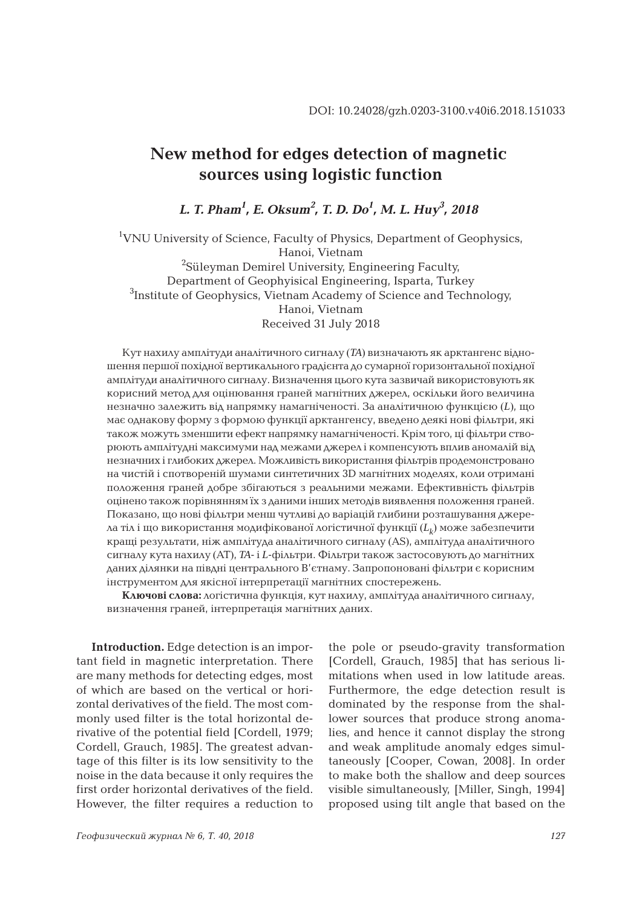## **New method for edges detection of magnetic sources using logistic function**

*L. T. Pham<sup>1</sup> , E. Oksum<sup>2</sup> , T. D. Do<sup>1</sup> , M. L. Huy<sup>3</sup> , 2018*

<sup>1</sup>VNU University of Science, Faculty of Physics, Department of Geophysics, Hanoi, Vietnam <sup>2</sup>Süleyman Demirel University, Engineering Faculty, Department of Geophyisical Engineering, Isparta, Turkey <sup>3</sup>Institute of Geophysics, Vietnam Academy of Science and Technology, Hanoi, Vietnam Received 31 July 2018

Кут нахилу амплітуди аналітичного сигналу (*TA*) визначають як арктангенс відношення першої похідної вертикального градієнта до сумарної горизонтальної похідної амплітуди аналітичного сигналу. Визначення цього кута зазвичай використовують як корисний метод для оцінювання граней магнітних джерел, оскільки його величина незначно залежить від напрямку намагніченості. За аналітичною функцією (*L*), що має однакову форму з формою функції арктангенсу, введено деякі нові фільтри, які також можуть зменшити ефект напрямку намагніченості. Крім того, ці фільтри створюють амплітудні максимуми над межами джерел і компенсують вплив аномалій від незначних і глибоких джерел. Можливість використання фільтрів продемонстровано на чистій і спотвореній шумами синтетичних 3D магнітних моделях, коли отримані положення граней добре збігаються з реальними межами. Ефективність фільтрів оцінено також порівнянням їх з даними інших методів виявлення положення граней. Показано, що нові фільтри менш чутливі до варіацій глибини розташування джерела тіл і що використання модифікованої логістичної функції (*Lk*) може забезпечити кращі результати, ніж амплітуда аналітичного сигналу (AS), амплітуда аналітичного сигналу кута нахилу (AT), *TA*- і *L*-фільтри. Фільтри також застосовують до магнітних даних ділянки на півдні центрального В'єтнаму. Запропоновані фільтри є корисним інструментом для якісної інтерпретації магнітних спостережень.

**Ключові слова:** логістична функція, кут нахилу, амплітуда аналітичного сигналу, визначення граней, інтерпретація магнітних даних.

**Introduction.** Edge detection is an important field in magnetic interpretation. There are many methods for detecting edges, most of which are based on the vertical or horizontal derivatives of the field. The most commonly used filter is the total horizontal derivative of the potential field [Cordell, 1979; Cordell, Grauch, 1985]. The greatest advantage of this filter is its low sensitivity to the noise in the data because it only requires the first order horizontal derivatives of the field. However, the filter requires a reduction to

the pole or pseudo-gravity transformation [Cordell, Grauch, 1985] that has serious limitations when used in low latitude areas. Furthermore, the edge detection result is dominated by the response from the shallower sources that produce strong anomalies, and hence it cannot display the strong and weak amplitude anomaly edges simultaneously [Cooper, Cowan, 2008]. In order to make both the shallow and deep sources visible simultaneously, [Miller, Singh, 1994] proposed using tilt angle that based on the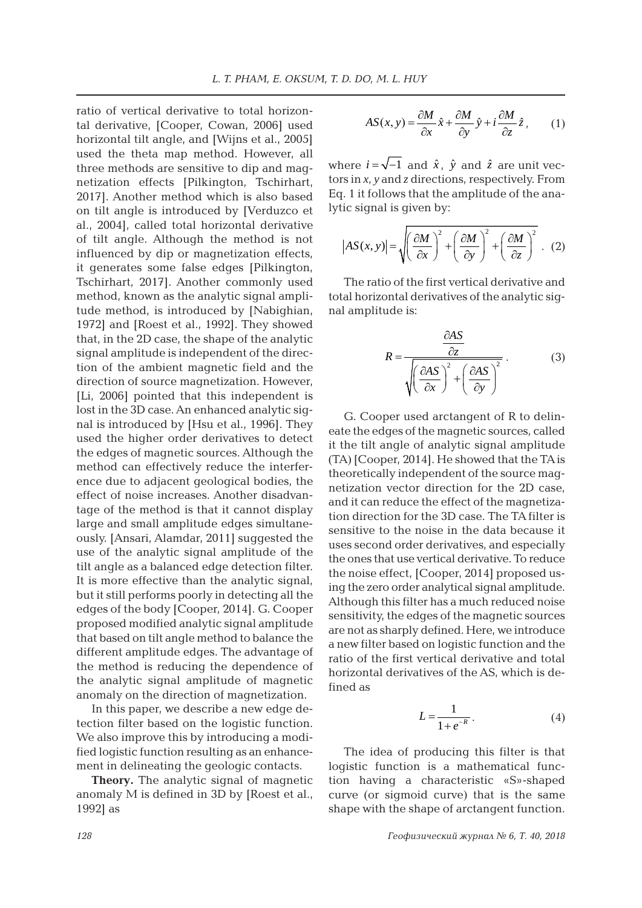ratio of vertical derivative to total horizontal derivative, [Cooper, Cowan, 2006] used horizontal tilt angle, and [Wijns et al., 2005] used the theta map method. However, all three methods are sensitive to dip and magnetization effects [Pilkington, Tschirhart, 2017]. Another method which is also based on tilt angle is introduced by [Verduzco et al., 2004], called total horizontal derivative of tilt angle. Although the method is not influenced by dip or magnetization effects, it generates some false edges [Pilkington, Tschirhart, 2017]. Another commonly used method, known as the analytic signal amplitude method, is introduced by [Nabighian, 1972] and [Roest et al., 1992]. They showed that, in the 2D case, the shape of the analytic signal amplitude is independent of the direction of the ambient magnetic field and the direction of source magnetization. However, [Li, 2006] pointed that this independent is lost in the 3D case. An enhanced analytic signal is introduced by [Hsu et al., 1996]. They used the higher order derivatives to detect the edges of magnetic sources. Although the method can effectively reduce the interference due to adjacent geological bodies, the effect of noise increases. Another disadvantage of the method is that it cannot display large and small amplitude edges simultaneously. [Ansari, Alamdar, 2011] suggested the use of the analytic signal amplitude of the tilt angle as a balanced edge detection filter. It is more effective than the analytic signal, but it still performs poorly in detecting all the edges of the body [Cooper, 2014]. G. Cooper proposed modified analytic signal amplitude that based on tilt angle method to balance the different amplitude edges. The advantage of the method is reducing the dependence of the analytic signal amplitude of magnetic anomaly on the direction of magnetization.

In this paper, we describe a new edge detection filter based on the logistic function. We also improve this by introducing a modified logistic function resulting as an enhancement in delineating the geologic contacts.

**Theory.** The analytic signal of magnetic anomaly M is defined in 3D by [Roest et al., 1992] as

$$
AS(x, y) = \frac{\partial M}{\partial x}\hat{x} + \frac{\partial M}{\partial y}\hat{y} + i\frac{\partial M}{\partial z}\hat{z},
$$
 (1)

where  $i = \sqrt{-1}$  and  $\hat{x}$ ,  $\hat{y}$  and  $\hat{z}$  are unit vectors in *x*, *y* and *z* directions, respectively. From Eq. 1 it follows that the amplitude of the analytic signal is given by:

$$
\left|AS(x, y)\right| = \sqrt{\left(\frac{\partial M}{\partial x}\right)^2 + \left(\frac{\partial M}{\partial y}\right)^2 + \left(\frac{\partial M}{\partial z}\right)^2} \quad (2)
$$

The ratio of the first vertical derivative and total horizontal derivatives of the analytic signal amplitude is:

$$
R = \frac{\frac{\partial AS}{\partial z}}{\sqrt{\left(\frac{\partial AS}{\partial x}\right)^2 + \left(\frac{\partial AS}{\partial y}\right)^2}}.
$$
 (3)

G. Cooper used arctangent of R to delineate the edges of the magnetic sources, called it the tilt angle of analytic signal amplitude (TA) [Cooper, 2014]. He showed that the TA is theoretically independent of the source magnetization vector direction for the 2D case, and it can reduce the effect of the magnetization direction for the 3D case. The TA filter is sensitive to the noise in the data because it uses second order derivatives, and especially the ones that use vertical derivative. To reduce the noise effect, [Cooper, 2014] proposed using the zero order analytical signal amplitude. Although this filter has a much reduced noise sensitivity, the edges of the magnetic sources are not as sharply defined. Here, we introduce a new filter based on logistic function and the ratio of the first vertical derivative and total horizontal derivatives of the AS, which is defined as

$$
L = \frac{1}{1 + e^{-R}}.\tag{4}
$$

The idea of producing this filter is that logistic function is a mathematical function having a characteristic «S»-shaped curve (or sigmoid curve) that is the same shape with the shape of arctangent function.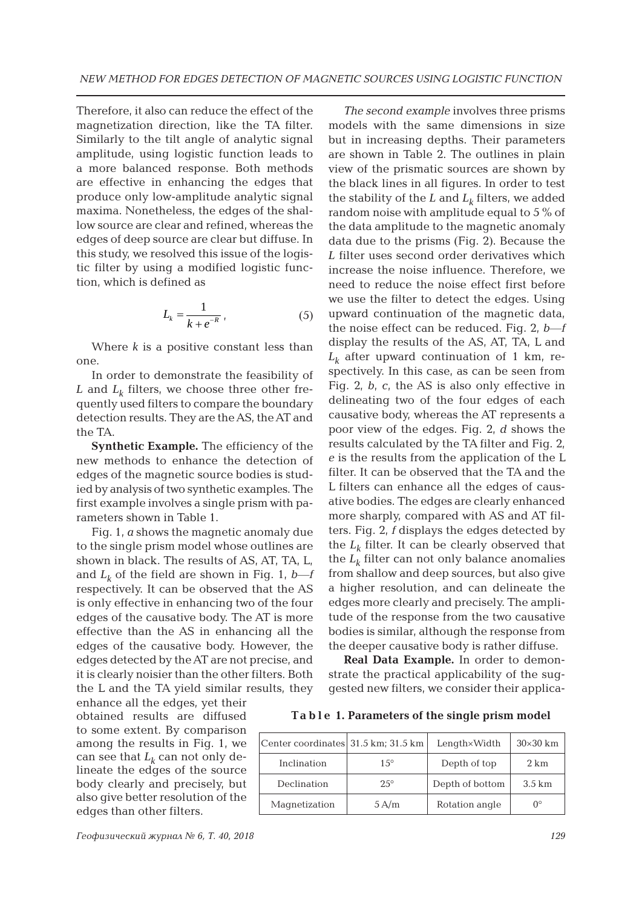Therefore, it also can reduce the effect of the magnetization direction, like the TA filter. Similarly to the tilt angle of analytic signal amplitude, using logistic function leads to a more balanced response. Both methods are effective in enhancing the edges that produce only low-amplitude analytic signal maxima. Nonetheless, the edges of the shallow source are clear and refined, whereas the edges of deep source are clear but diffuse. In this study, we resolved this issue of the logistic filter by using a modified logistic function, which is defined as

$$
L_k = \frac{1}{k + e^{-R}}\tag{5}
$$

Where  $k$  is a positive constant less than one.

In order to demonstrate the feasibility of  $L$  and  $L_k$  filters, we choose three other frequently used filters to compare the boundary detection results. They are the AS, the AT and the TA.

**Synthetic Example.** The efficiency of the new methods to enhance the detection of edges of the magnetic source bodies is studied by analysis of two synthetic examples. The first example involves a single prism with parameters shown in Table 1.

Fig. 1, *a* shows the magnetic anomaly due to the single prism model whose outlines are shown in black. The results of AS, AT, TA, L, and  $L_k$  of the field are shown in Fig. 1,  $b$ —*f* respectively. It can be observed that the AS is only effective in enhancing two of the four edges of the causative body. The AT is more effective than the AS in enhancing all the edges of the causative body. However, the edges detected by the AT are not precise, and it is clearly noisier than the other filters. Both the L and the TA yield similar results, they

enhance all the edges, yet their obtained results are diffused to some extent. By comparison among the results in Fig. 1, we can see that  $L_k$  can not only delineate the edges of the source body clearly and precisely, but also give better resolution of the edges than other filters.

*The second example* involves three prisms models with the same dimensions in size but in increasing depths. Their parameters are shown in Table 2. The outlines in plain view of the prismatic sources are shown by the black lines in all figures. In order to test the stability of the  $L$  and  $L_k$  filters, we added random noise with amplitude equal to 5 % of the data amplitude to the magnetic anomaly data due to the prisms (Fig. 2). Because the *L* filter uses second order derivatives which increase the noise influence. Therefore, we need to reduce the noise effect first before we use the filter to detect the edges. Using upward continuation of the magnetic data, the noise effect can be reduced. Fig. 2, *b*―*f* display the results of the AS, AT, TA, L and  $L_k$  after upward continuation of 1 km, respectively. In this case, as can be seen from Fig. 2, *b*, *c*, the AS is also only effective in delineating two of the four edges of each causative body, whereas the AT represents a poor view of the edges. Fig. 2, *d* shows the results calculated by the TA filter and Fig. 2, *e* is the results from the application of the L filter. It can be observed that the TA and the L filters can enhance all the edges of causative bodies. The edges are clearly enhanced more sharply, compared with AS and AT filters. Fig. 2, *f* displays the edges detected by the  $L_k$  filter. It can be clearly observed that the  $L_k$  filter can not only balance anomalies from shallow and deep sources, but also give a higher resolution, and can delineate the edges more clearly and precisely. The amplitude of the response from the two causative bodies is similar, although the response from the deeper causative body is rather diffuse.

**Real Data Example.** In order to demonstrate the practical applicability of the suggested new filters, we consider their applica-

**Ta b l e 1. Parameters of the single prism model**

| Center coordinates 31.5 km; 31.5 km |             | Length×Width    | $30\times30$ km |
|-------------------------------------|-------------|-----------------|-----------------|
| Inclination                         | $1.5^\circ$ | Depth of top    | $2 \text{ km}$  |
| Declination                         | $2.5^\circ$ | Depth of bottom |                 |
| Magnetization                       | 5A/m        | Rotation angle  | ∩°              |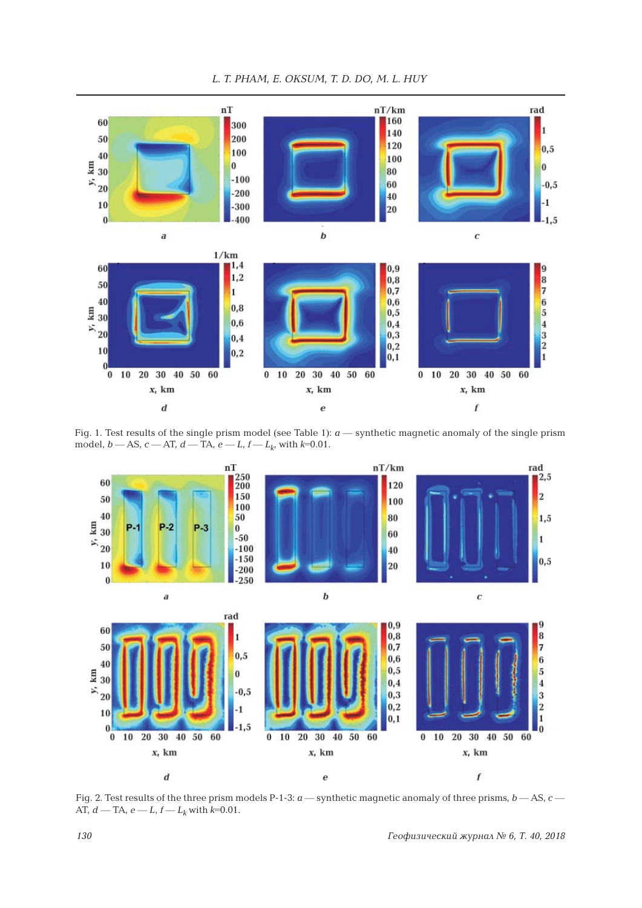

Fig. 1. Test results of the single prism model (see Table 1): *a* ― synthetic magnetic anomaly of the single prism model,  $b$  — AS,  $c$  — AT,  $d$  — TA,  $e$  —  $L$ ,  $f$  —  $L$ <sub>k</sub>, with  $k$ =0.01.



Fig. 2. Test results of the three prism models P-1-3: *a* ― synthetic magnetic anomaly of three prisms, *b* ― AS, *c* ― AT,  $d$  — TA,  $e$  —  $L$ ,  $f$  —  $L$ <sub>k</sub> with  $k$ =0.01.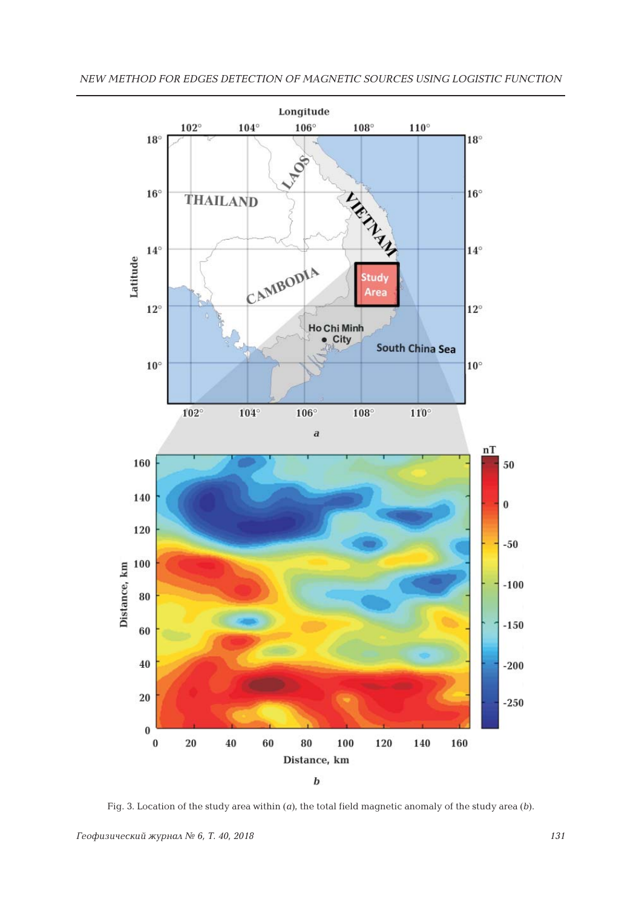

Fig. 3. Location of the study area within (*a*), the total field magnetic anomaly of the study area (*b*).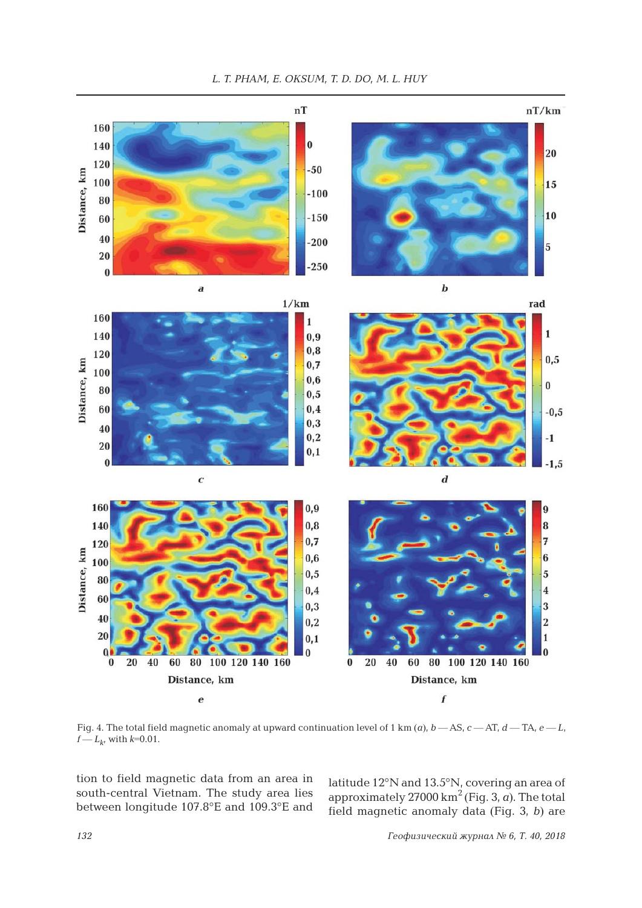



Fig. 4. The total field magnetic anomaly at upward continuation level of 1 km  $(a)$ ,  $b$  — AS,  $c$  — AT,  $d$  — TA,  $e$  —  $L$ ,  $f - L_{k}$ , with  $k = 0.01$ .

tion to field magnetic data from an area in south-central Vietnam. The study area lies between longitude 107.8°E and 109.3°E and

latitude 12°N and 13.5°N, covering an area of approximately  $27000 \text{ km}^2$  (Fig. 3, *a*). The total field magnetic anomaly data (Fig. 3, *b*) are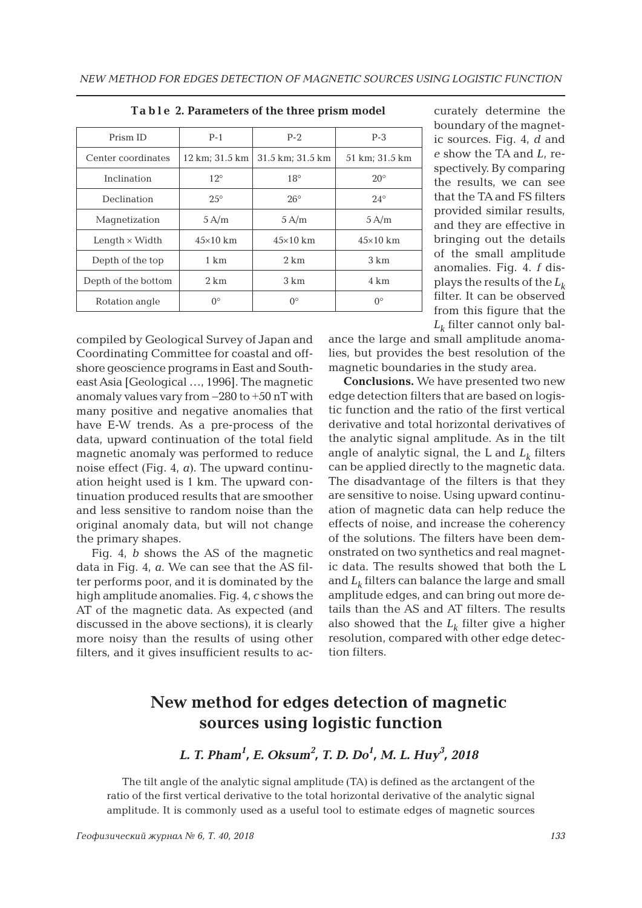| Prism ID              | $P-1$           | $P-2$            | $P-3$           |  |
|-----------------------|-----------------|------------------|-----------------|--|
| Center coordinates    | 12 km; 31.5 km  | 31.5 km; 31.5 km | 51 km; 31.5 km  |  |
| Inclination           | $12^\circ$      | $18^{\circ}$     | $20^{\circ}$    |  |
| Declination           | $2.5^\circ$     | $26^{\circ}$     | $24^{\circ}$    |  |
| Magnetization         | $5 \text{ A/m}$ | 5A/m             | 5A/m            |  |
| Length $\times$ Width | $45\times10$ km | $45\times10$ km  | $45\times10$ km |  |
| Depth of the top      | 1 km            | $2 \text{ km}$   | $3 \text{ km}$  |  |
| Depth of the bottom   | $2 \text{ km}$  | 3 km             | 4 km            |  |
| Rotation angle        | $0^{\circ}$     | $0^{\circ}$      | $0^{\circ}$     |  |

|  |  | Table 2. Parameters of the three prism model |  |  |  |  |  |
|--|--|----------------------------------------------|--|--|--|--|--|
|--|--|----------------------------------------------|--|--|--|--|--|

compiled by Geological Survey of Japan and Coordinating Committee for coastal and offshore geoscience programs in East and Southeast Asia [Geological …, 1996]. The magnetic anomaly values vary from −280 to +50 nT with many positive and negative anomalies that have E-W trends. As a pre-process of the data, upward continuation of the total field magnetic anomaly was performed to reduce noise effect (Fig. 4, *a*). The upward continuation height used is 1 km. The upward continuation produced results that are smoother and less sensitive to random noise than the original anomaly data, but will not change the primary shapes.

Fig. 4, *b* shows the AS of the magnetic data in Fig. 4, *a*. We can see that the AS filter performs poor, and it is dominated by the high amplitude anomalies. Fig. 4, *c* shows the AT of the magnetic data. As expected (and discussed in the above sections), it is clearly more noisy than the results of using other filters, and it gives insufficient results to ac-

curately determine the boundary of the magnetic sources. Fig. 4, *d* and *e* show the TA and *L*, respectively. By comparing the results, we can see that the TA and FS filters provided similar results, and they are effective in bringing out the details of the small amplitude anomalies. Fig. 4. *f* displays the results of the *Lk* filter. It can be observed from this figure that the  $L_k$  filter cannot only bal-

ance the large and small amplitude anomalies, but provides the best resolution of the magnetic boundaries in the study area.

**Conclusions.** We have presented two new edge detection filters that are based on logistic function and the ratio of the first vertical derivative and total horizontal derivatives of the analytic signal amplitude. As in the tilt angle of analytic signal, the L and  $L<sub>k</sub>$  filters can be applied directly to the magnetic data. The disadvantage of the filters is that they are sensitive to noise. Using upward continuation of magnetic data can help reduce the effects of noise, and increase the coherency of the solutions. The filters have been demonstrated on two synthetics and real magnetic data. The results showed that both the L and  $L_k$  filters can balance the large and small amplitude edges, and can bring out more details than the AS and AT filters. The results also showed that the  $L_k$  filter give a higher resolution, compared with other edge detection filters.

## **New method for edges detection of magnetic sources using logistic function**

*L. T. Pham<sup>1</sup> , E. Oksum<sup>2</sup> , T. D. Do<sup>1</sup> , M. L. Huy<sup>3</sup> , 2018*

The tilt angle of the analytic signal amplitude (TA) is defined as the arctangent of the ratio of the first vertical derivative to the total horizontal derivative of the analytic signal amplitude. It is commonly used as a useful tool to estimate edges of magnetic sources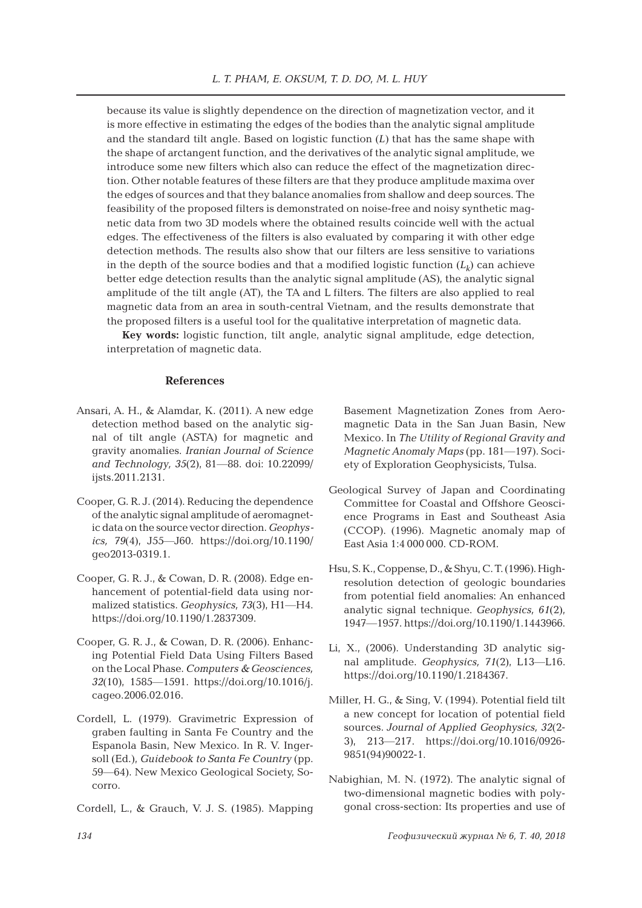because its value is slightly dependence on the direction of magnetization vector, and it is more effective in estimating the edges of the bodies than the analytic signal amplitude and the standard tilt angle. Based on logistic function (*L*) that has the same shape with the shape of arctangent function, and the derivatives of the analytic signal amplitude, we introduce some new filters which also can reduce the effect of the magnetization direction. Other notable features of these filters are that they produce amplitude maxima over the edges of sources and that they balance anomalies from shallow and deep sources. The feasibility of the proposed filters is demonstrated on noise-free and noisy synthetic magnetic data from two 3D models where the obtained results coincide well with the actual edges. The effectiveness of the filters is also evaluated by comparing it with other edge detection methods. The results also show that our filters are less sensitive to variations in the depth of the source bodies and that a modified logistic function  $(L_k)$  can achieve better edge detection results than the analytic signal amplitude (AS), the analytic signal amplitude of the tilt angle (AT), the TA and L filters. The filters are also applied to real magnetic data from an area in south-central Vietnam, and the results demonstrate that the proposed filters is a useful tool for the qualitative interpretation of magnetic data.

**Key words:** logistic function, tilt angle, analytic signal amplitude, edge detection, interpretation of magnetic data.

## **References**

- Ansari, A. H., & Alamdar, K. (2011). A new edge detection method based on the analytic signal of tilt angle (ASTA) for magnetic and gravity anomalies. *Iranian Journal of Science and Technology, 35*(2), 81―88. doi: 10.22099/ ijsts.2011.2131.
- Cooper, G. R. J. (2014). Reducing the dependence of the analytic signal amplitude of aeromagnetic data on the source vector direction. *Geophysics, 79*(4), J55―J60. https://doi.org/10.1190/ geo2013-0319.1.
- Cooper, G. R. J., & Cowan, D. R. (2008). Edge enhancement of potential-field data using normalized statistics. *Geophysics, 73*(3), H1―H4. https://doi.org/10.1190/1.2837309.
- Cooper, G. R. J., & Cowan, D. R. (2006). Enhancing Potential Field Data Using Filters Based on the Local Phase. *Computers & Geosciences, 32*(10), 1585―1591. https://doi.org/10.1016/j. cageo.2006.02.016.
- Cordell, L. (1979). Gravimetric Expression of graben faulting in Santa Fe Country and the Espanola Basin, New Mexico. In R. V. Ingersoll (Ed.), *Guidebook to Santa Fe Country* (pp. 59―64). New Mexico Geological Society, Socorro.
- Cordell, L., & Grauch, V. J. S. (1985). Mapping

Basement Magnetization Zones from Aeromagnetic Data in the San Juan Basin, New Mexico. In *The Utility of Regional Gravity and Magnetic Anomaly Maps* (pp. 181―197). Society of Exploration Geophysicists, Tulsa.

- Geological Survey of Japan and Coordinating Committee for Coastal and Offshore Geoscience Programs in East and Southeast Asia (CCOP). (1996). Magnetic anomaly map of East Asia 1:4 000 000. CD-ROM.
- Hsu, S. K., Coppense, D., & Shyu, C. T. (1996). Highresolution detection of geologic boundaries from potential field anomalies: An enhanced analytic signal technique. *Geophysics, 61*(2), 1947―1957. https://doi.org/10.1190/1.1443966.
- Li, X., (2006). Understanding 3D analytic signal amplitude. *Geophysics, 71*(2), L13―L16. https://doi.org/10.1190/1.2184367.
- Miller, H. G., & Sing, V. (1994). Potential field tilt a new concept for location of potential field sources. *Journal of Applied Geophysics, 32*(2- 3), 213―217. https://doi.org/10.1016/0926- 9851(94)90022-1.
- Nabighian, M. N. (1972). The analytic signal of two-dimensional magnetic bodies with polygonal cross-section: Its properties and use of